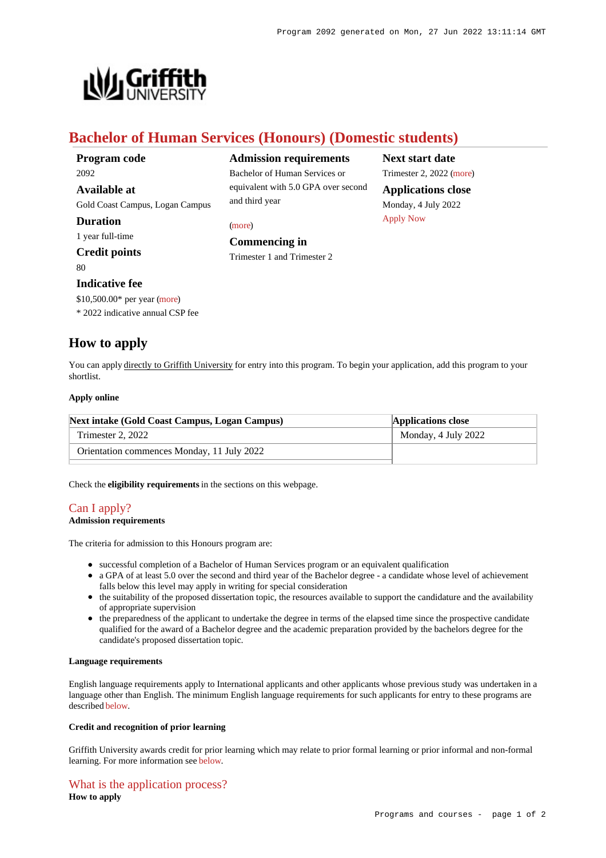**Next start date** Trimester 2, 2022 [\(more](https://www148.griffith.edu.au/programs-courses/Program/2092/HowToApply/Domestic)) **Applications close** Monday, 4 July 2022

[Apply Now](https://www148.griffith.edu.au/programs-courses/Program/2092/HowToApply/Domestic#)



# **Bachelor of Human Services (Honours) (Domestic students)**

and third year

**Commencing in** Trimester 1 and Trimester 2

[\(more](https://www148.griffith.edu.au/programs-courses/Program/2092/HowToApply/Domestic#can-i-apply))

**Admission requirements** Bachelor of Human Services or equivalent with 5.0 GPA over second

## **Duration**

1 year full-time

# **Credit points**

 $80$ 

## **Indicative fee**

\$10,500.00\* per year [\(more](https://www148.griffith.edu.au/programs-courses/Program/2092/Overview/Domestic#fees))

\* 2022 indicative annual CSP fee

# **How to apply**

You can apply directly to Griffith University for entry into this program. To begin your application, add this program to your shortlist.

#### **Apply online**

| Next intake (Gold Coast Campus, Logan Campus) | <b>Applications close</b> |
|-----------------------------------------------|---------------------------|
| Trimester 2, 2022                             | Monday, 4 July 2022       |
| Orientation commences Monday, 11 July 2022    |                           |

Check the **eligibility requirements** in the sections on this webpage.

# [Can I apply?](https://www148.griffith.edu.au/programs-courses/Program/2092/HowToApply/Domestic#can-i-apply)

#### **Admission requirements**

The criteria for admission to this Honours program are:

- successful completion of a Bachelor of Human Services program or an equivalent qualification
- a GPA of at least 5.0 over the second and third year of the Bachelor degree a candidate whose level of achievement falls below this level may apply in writing for special consideration
- the suitability of the proposed dissertation topic, the resources available to support the candidature and the availability of appropriate supervision
- the preparedness of the applicant to undertake the degree in terms of the elapsed time since the prospective candidate qualified for the award of a Bachelor degree and the academic preparation provided by the bachelors degree for the candidate's proposed dissertation topic.

#### **Language requirements**

English language requirements apply to International applicants and other applicants whose previous study was undertaken in a language other than English. The minimum English language requirements for such applicants for entry to these programs are described [below](https://www148.griffith.edu.au/programs-courses/Program/2092/HowToApply/Domestic#language).

#### **Credit and recognition of prior learning**

Griffith University awards credit for prior learning which may relate to prior formal learning or prior informal and non-formal learning. For more information see [below](https://www148.griffith.edu.au/programs-courses/Program/2092/HowToApply/Domestic#credit).

# [What is the application process?](https://www148.griffith.edu.au/programs-courses/Program/2092/HowToApply/Domestic#process)

**How to apply**